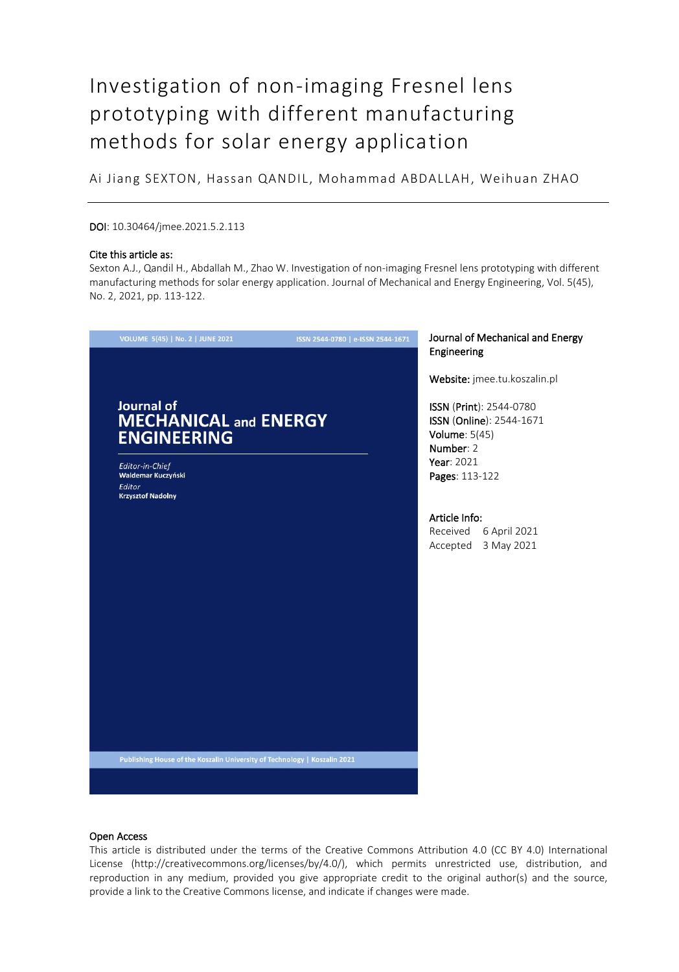# Investigation of non-imaging Fresnel lens prototyping with different manufacturing methods for solar energy application

Ai Jiang SEXTON, Hassan QANDIL , Mohammad ABDALLAH, Weihuan ZHAO

## DOI: 10.30464/jmee.2021.5.2.113

## Cite this article as:

Sexton A.J., Qandil H., Abdallah M., Zhao W. Investigation of non-imaging Fresnel lens prototyping with different manufacturing methods for solar energy application. Journal of Mechanical and Energy Engineering, Vol. 5(45), No. 2, 2021, pp. 113-122.



# Journal of Mechanical and Energy Engineering

Website: jmee.tu.koszalin.pl

ISSN (Print): 2544-0780 ISSN (Online): 2544-1671 Volume: 5(45) Number: 2 Year: 2021 Pages: 113-122

## Article Info:

Received 6 April 2021 Accepted 3 May 2021

# Open Access

This article is distributed under the terms of the Creative Commons Attribution 4.0 (CC BY 4.0) International License (http://creativecommons.org/licenses/by/4.0/), which permits unrestricted use, distribution, and reproduction in any medium, provided you give appropriate credit to the original author(s) and the source, provide a link to the Creative Commons license, and indicate if changes were made.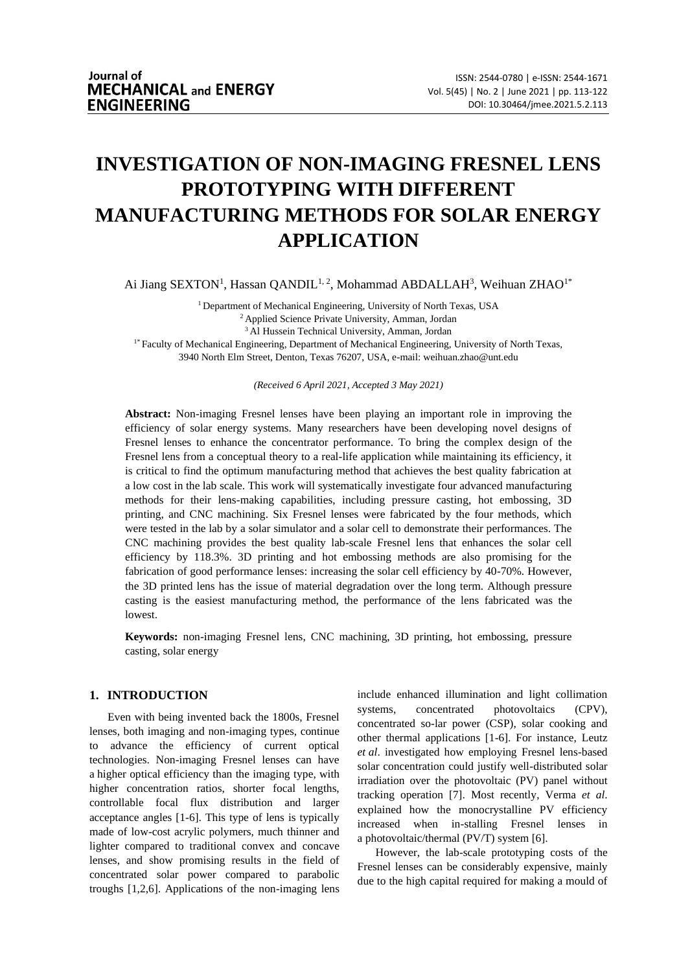# **INVESTIGATION OF NON-IMAGING FRESNEL LENS PROTOTYPING WITH DIFFERENT MANUFACTURING METHODS FOR SOLAR ENERGY APPLICATION**

Ai Jiang SEXTON<sup>1</sup>, Hassan QANDIL<sup>1, 2</sup>, Mohammad ABDALLAH<sup>3</sup>, Weihuan ZHAO<sup>1\*</sup>

<sup>1</sup> Department of Mechanical Engineering, University of North Texas, USA <sup>2</sup> Applied Science Private University, Amman, Jordan <sup>3</sup>Al Hussein Technical University, Amman, Jordan <sup>1\*</sup> Faculty of Mechanical Engineering, Department of Mechanical Engineering, University of North Texas, 3940 North Elm Street, Denton, Texas 76207, USA, e-mail: weihuan.zhao@unt.edu

*(Received 6 April 2021, Accepted 3 May 2021)*

**Abstract:** Non-imaging Fresnel lenses have been playing an important role in improving the efficiency of solar energy systems. Many researchers have been developing novel designs of Fresnel lenses to enhance the concentrator performance. To bring the complex design of the Fresnel lens from a conceptual theory to a real-life application while maintaining its efficiency, it is critical to find the optimum manufacturing method that achieves the best quality fabrication at a low cost in the lab scale. This work will systematically investigate four advanced manufacturing methods for their lens-making capabilities, including pressure casting, hot embossing, 3D printing, and CNC machining. Six Fresnel lenses were fabricated by the four methods, which were tested in the lab by a solar simulator and a solar cell to demonstrate their performances. The CNC machining provides the best quality lab-scale Fresnel lens that enhances the solar cell efficiency by 118.3%. 3D printing and hot embossing methods are also promising for the fabrication of good performance lenses: increasing the solar cell efficiency by 40-70%. However, the 3D printed lens has the issue of material degradation over the long term. Although pressure casting is the easiest manufacturing method, the performance of the lens fabricated was the lowest.

**Keywords:** non-imaging Fresnel lens, CNC machining, 3D printing, hot embossing, pressure casting, solar energy

# **1. INTRODUCTION**

Even with being invented back the 1800s, Fresnel lenses, both imaging and non-imaging types, continue to advance the efficiency of current optical technologies. Non-imaging Fresnel lenses can have a higher optical efficiency than the imaging type, with higher concentration ratios, shorter focal lengths, controllable focal flux distribution and larger acceptance angles [1-6]. This type of lens is typically made of low-cost acrylic polymers, much thinner and lighter compared to traditional convex and concave lenses, and show promising results in the field of concentrated solar power compared to parabolic troughs [1,2,6]. Applications of the non-imaging lens

include enhanced illumination and light collimation systems, concentrated photovoltaics (CPV), concentrated so-lar power (CSP), solar cooking and other thermal applications [1-6]. For instance, Leutz *et al*. investigated how employing Fresnel lens-based solar concentration could justify well-distributed solar irradiation over the photovoltaic (PV) panel without tracking operation [7]. Most recently, Verma *et al*. explained how the monocrystalline PV efficiency increased when in-stalling Fresnel lenses in a photovoltaic/thermal (PV/T) system [6].

However, the lab-scale prototyping costs of the Fresnel lenses can be considerably expensive, mainly due to the high capital required for making a mould of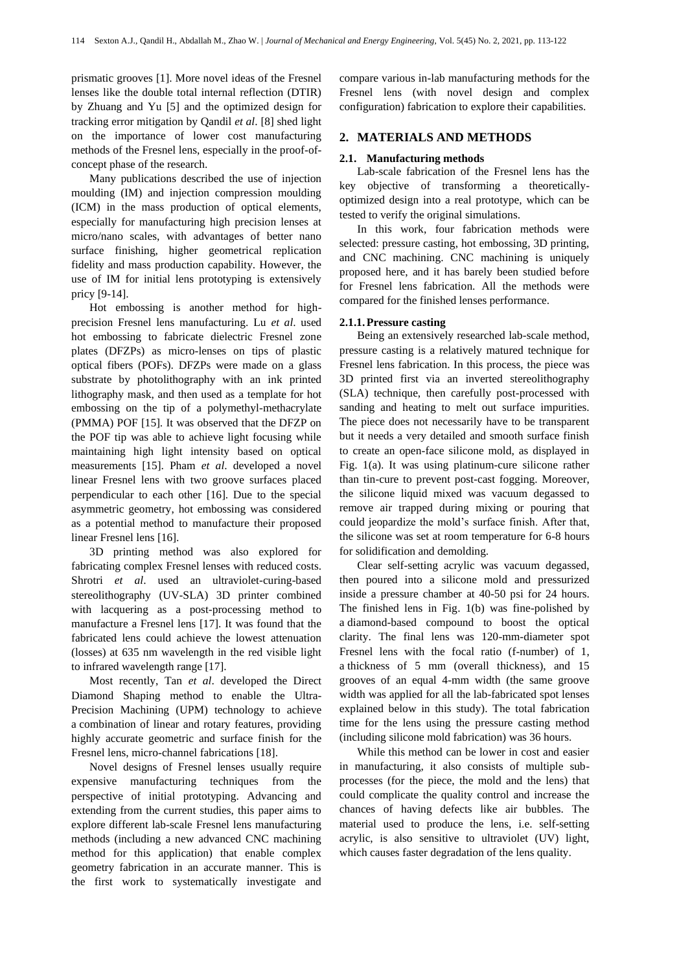prismatic grooves [1]. More novel ideas of the Fresnel lenses like the double total internal reflection (DTIR) by Zhuang and Yu [5] and the optimized design for tracking error mitigation by Qandil *et al*. [8] shed light on the importance of lower cost manufacturing methods of the Fresnel lens, especially in the proof-ofconcept phase of the research.

Many publications described the use of injection moulding (IM) and injection compression moulding (ICM) in the mass production of optical elements, especially for manufacturing high precision lenses at micro/nano scales, with advantages of better nano surface finishing, higher geometrical replication fidelity and mass production capability. However, the use of IM for initial lens prototyping is extensively pricy [9-14].

Hot embossing is another method for highprecision Fresnel lens manufacturing. Lu *et al*. used hot embossing to fabricate dielectric Fresnel zone plates (DFZPs) as micro-lenses on tips of plastic optical fibers (POFs). DFZPs were made on a glass substrate by photolithography with an ink printed lithography mask, and then used as a template for hot embossing on the tip of a polymethyl-methacrylate (PMMA) POF [15]. It was observed that the DFZP on the POF tip was able to achieve light focusing while maintaining high light intensity based on optical measurements [15]. Pham *et al*. developed a novel linear Fresnel lens with two groove surfaces placed perpendicular to each other [16]. Due to the special asymmetric geometry, hot embossing was considered as a potential method to manufacture their proposed linear Fresnel lens [16].

3D printing method was also explored for fabricating complex Fresnel lenses with reduced costs. Shrotri *et al*. used an ultraviolet-curing-based stereolithography (UV-SLA) 3D printer combined with lacquering as a post-processing method to manufacture a Fresnel lens [17]. It was found that the fabricated lens could achieve the lowest attenuation (losses) at 635 nm wavelength in the red visible light to infrared wavelength range [17].

Most recently, Tan *et al*. developed the Direct Diamond Shaping method to enable the Ultra-Precision Machining (UPM) technology to achieve a combination of linear and rotary features, providing highly accurate geometric and surface finish for the Fresnel lens, micro-channel fabrications [18].

Novel designs of Fresnel lenses usually require expensive manufacturing techniques from the perspective of initial prototyping. Advancing and extending from the current studies, this paper aims to explore different lab-scale Fresnel lens manufacturing methods (including a new advanced CNC machining method for this application) that enable complex geometry fabrication in an accurate manner. This is the first work to systematically investigate and

compare various in-lab manufacturing methods for the Fresnel lens (with novel design and complex configuration) fabrication to explore their capabilities.

## **2. MATERIALS AND METHODS**

### **2.1. Manufacturing methods**

Lab-scale fabrication of the Fresnel lens has the key objective of transforming a theoreticallyoptimized design into a real prototype, which can be tested to verify the original simulations.

In this work, four fabrication methods were selected: pressure casting, hot embossing, 3D printing, and CNC machining. CNC machining is uniquely proposed here, and it has barely been studied before for Fresnel lens fabrication. All the methods were compared for the finished lenses performance.

#### **2.1.1.Pressure casting**

Being an extensively researched lab-scale method, pressure casting is a relatively matured technique for Fresnel lens fabrication. In this process, the piece was 3D printed first via an inverted stereolithography (SLA) technique, then carefully post-processed with sanding and heating to melt out surface impurities. The piece does not necessarily have to be transparent but it needs a very detailed and smooth surface finish to create an open-face silicone mold, as displayed in Fig. 1(a). It was using platinum-cure silicone rather than tin-cure to prevent post-cast fogging. Moreover, the silicone liquid mixed was vacuum degassed to remove air trapped during mixing or pouring that could jeopardize the mold's surface finish. After that, the silicone was set at room temperature for 6-8 hours for solidification and demolding.

Clear self-setting acrylic was vacuum degassed, then poured into a silicone mold and pressurized inside a pressure chamber at 40-50 psi for 24 hours. The finished lens in Fig. 1(b) was fine-polished by a diamond-based compound to boost the optical clarity. The final lens was 120-mm-diameter spot Fresnel lens with the focal ratio (f-number) of 1, a thickness of 5 mm (overall thickness), and 15 grooves of an equal 4-mm width (the same groove width was applied for all the lab-fabricated spot lenses explained below in this study). The total fabrication time for the lens using the pressure casting method (including silicone mold fabrication) was 36 hours.

While this method can be lower in cost and easier in manufacturing, it also consists of multiple subprocesses (for the piece, the mold and the lens) that could complicate the quality control and increase the chances of having defects like air bubbles. The material used to produce the lens, i.e. self-setting acrylic, is also sensitive to ultraviolet (UV) light, which causes faster degradation of the lens quality.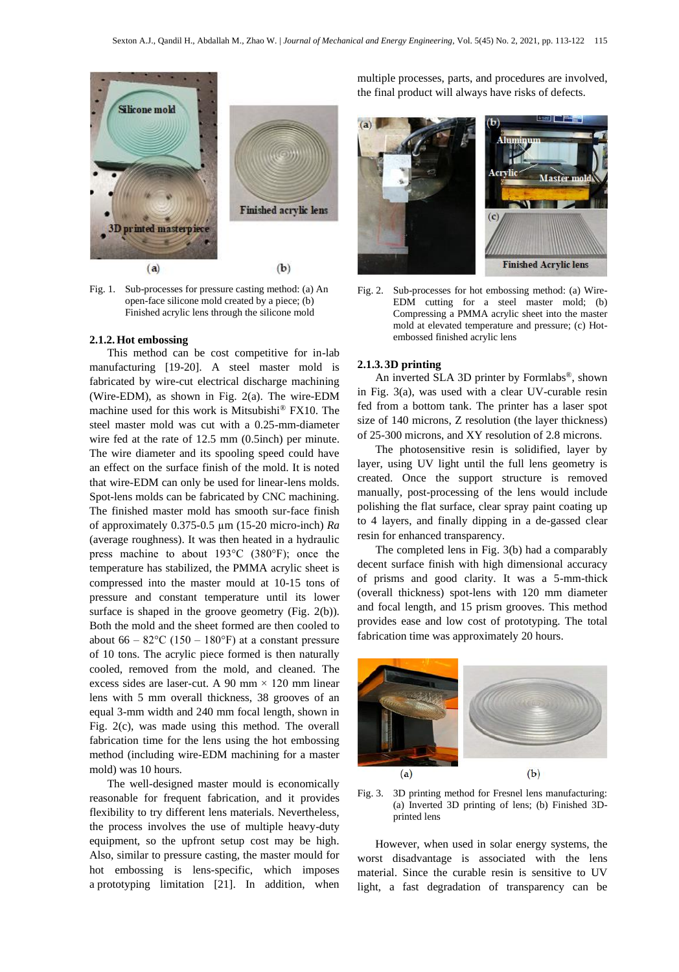

Fig. 1. Sub-processes for pressure casting method: (a) An open-face silicone mold created by a piece; (b) Finished acrylic lens through the silicone mold

#### **2.1.2.Hot embossing**

This method can be cost competitive for in-lab manufacturing [19-20]. A steel master mold is fabricated by wire-cut electrical discharge machining (Wire-EDM), as shown in Fig. 2(a). The wire-EDM machine used for this work is Mitsubishi® FX10. The steel master mold was cut with a 0.25-mm-diameter wire fed at the rate of 12.5 mm (0.5inch) per minute. The wire diameter and its spooling speed could have an effect on the surface finish of the mold. It is noted that wire-EDM can only be used for linear-lens molds. Spot-lens molds can be fabricated by CNC machining. The finished master mold has smooth sur-face finish of approximately 0.375-0.5 µm (15-20 micro-inch) *Ra* (average roughness). It was then heated in a hydraulic press machine to about 193°C (380°F); once the temperature has stabilized, the PMMA acrylic sheet is compressed into the master mould at 10-15 tons of pressure and constant temperature until its lower surface is shaped in the groove geometry (Fig. 2(b)). Both the mold and the sheet formed are then cooled to about 66 –  $82^{\circ}$ C (150 – 180°F) at a constant pressure of 10 tons. The acrylic piece formed is then naturally cooled, removed from the mold, and cleaned. The excess sides are laser-cut. A 90 mm  $\times$  120 mm linear lens with 5 mm overall thickness, 38 grooves of an equal 3-mm width and 240 mm focal length, shown in Fig. 2(c), was made using this method. The overall fabrication time for the lens using the hot embossing method (including wire-EDM machining for a master mold) was 10 hours.

The well-designed master mould is economically reasonable for frequent fabrication, and it provides flexibility to try different lens materials. Nevertheless, the process involves the use of multiple heavy-duty equipment, so the upfront setup cost may be high. Also, similar to pressure casting, the master mould for hot embossing is lens-specific, which imposes a prototyping limitation [21]. In addition, when

multiple processes, parts, and procedures are involved, the final product will always have risks of defects.



Fig. 2. Sub-processes for hot embossing method: (a) Wire-EDM cutting for a steel master mold; (b) Compressing a PMMA acrylic sheet into the master mold at elevated temperature and pressure; (c) Hotembossed finished acrylic lens

#### **2.1.3. 3D printing**

An inverted SLA 3D printer by Formlabs®, shown in Fig. 3(a), was used with a clear UV-curable resin fed from a bottom tank. The printer has a laser spot size of 140 microns, Z resolution (the layer thickness) of 25-300 microns, and XY resolution of 2.8 microns.

The photosensitive resin is solidified, layer by layer, using UV light until the full lens geometry is created. Once the support structure is removed manually, post-processing of the lens would include polishing the flat surface, clear spray paint coating up to 4 layers, and finally dipping in a de-gassed clear resin for enhanced transparency.

The completed lens in Fig. 3(b) had a comparably decent surface finish with high dimensional accuracy of prisms and good clarity. It was a 5-mm-thick (overall thickness) spot-lens with 120 mm diameter and focal length, and 15 prism grooves. This method provides ease and low cost of prototyping. The total fabrication time was approximately 20 hours.



Fig. 3. 3D printing method for Fresnel lens manufacturing: (a) Inverted 3D printing of lens; (b) Finished 3Dprinted lens

However, when used in solar energy systems, the worst disadvantage is associated with the lens material. Since the curable resin is sensitive to UV light, a fast degradation of transparency can be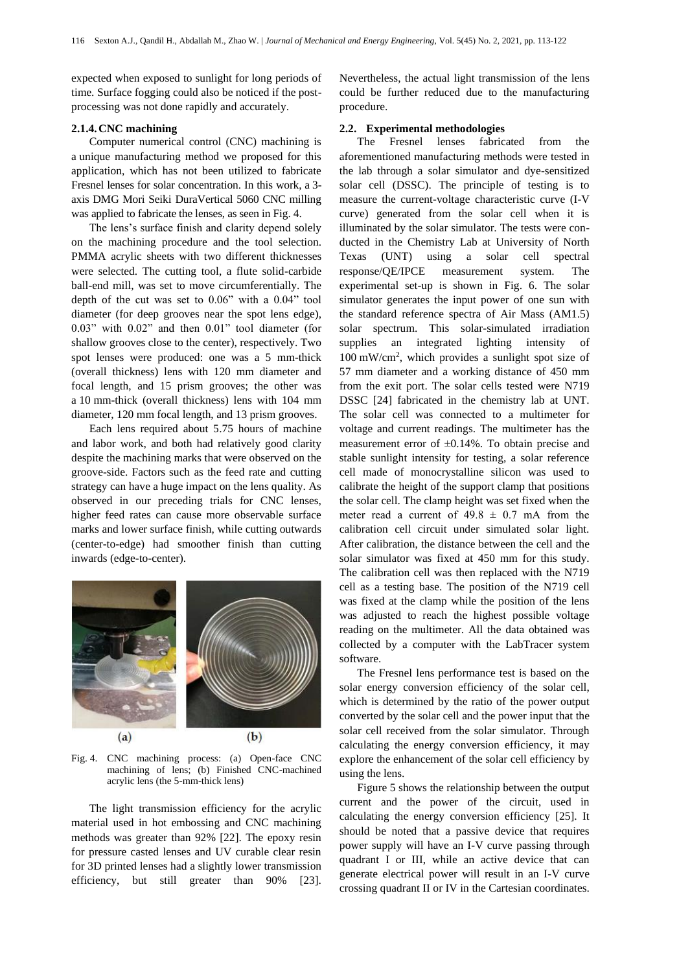expected when exposed to sunlight for long periods of time. Surface fogging could also be noticed if the postprocessing was not done rapidly and accurately.

### **2.1.4.CNC machining**

Computer numerical control (CNC) machining is a unique manufacturing method we proposed for this application, which has not been utilized to fabricate Fresnel lenses for solar concentration. In this work, a 3 axis DMG Mori Seiki DuraVertical 5060 CNC milling was applied to fabricate the lenses, as seen in Fig. 4.

The lens's surface finish and clarity depend solely on the machining procedure and the tool selection. PMMA acrylic sheets with two different thicknesses were selected. The cutting tool, a flute solid-carbide ball-end mill, was set to move circumferentially. The depth of the cut was set to 0.06" with a 0.04" tool diameter (for deep grooves near the spot lens edge), 0.03" with 0.02" and then 0.01" tool diameter (for shallow grooves close to the center), respectively. Two spot lenses were produced: one was a 5 mm-thick (overall thickness) lens with 120 mm diameter and focal length, and 15 prism grooves; the other was a 10 mm-thick (overall thickness) lens with 104 mm diameter, 120 mm focal length, and 13 prism grooves.

Each lens required about 5.75 hours of machine and labor work, and both had relatively good clarity despite the machining marks that were observed on the groove-side. Factors such as the feed rate and cutting strategy can have a huge impact on the lens quality. As observed in our preceding trials for CNC lenses, higher feed rates can cause more observable surface marks and lower surface finish, while cutting outwards (center-to-edge) had smoother finish than cutting inwards (edge-to-center).



Fig. 4. CNC machining process: (a) Open-face CNC machining of lens; (b) Finished CNC-machined acrylic lens (the 5-mm-thick lens)

The light transmission efficiency for the acrylic material used in hot embossing and CNC machining methods was greater than 92% [22]. The epoxy resin for pressure casted lenses and UV curable clear resin for 3D printed lenses had a slightly lower transmission efficiency, but still greater than 90% [23].

Nevertheless, the actual light transmission of the lens could be further reduced due to the manufacturing procedure.

#### **2.2. Experimental methodologies**

The Fresnel lenses fabricated from the aforementioned manufacturing methods were tested in the lab through a solar simulator and dye-sensitized solar cell (DSSC). The principle of testing is to measure the current-voltage characteristic curve (I-V curve) generated from the solar cell when it is illuminated by the solar simulator. The tests were conducted in the Chemistry Lab at University of North Texas (UNT) using a solar cell spectral response/QE/IPCE measurement system. The experimental set-up is shown in Fig. 6. The solar simulator generates the input power of one sun with the standard reference spectra of Air Mass (AM1.5) solar spectrum. This solar-simulated irradiation supplies an integrated lighting intensity of 100 mW/cm<sup>2</sup> , which provides a sunlight spot size of 57 mm diameter and a working distance of 450 mm from the exit port. The solar cells tested were N719 DSSC [24] fabricated in the chemistry lab at UNT. The solar cell was connected to a multimeter for voltage and current readings. The multimeter has the measurement error of ±0.14%. To obtain precise and stable sunlight intensity for testing, a solar reference cell made of monocrystalline silicon was used to calibrate the height of the support clamp that positions the solar cell. The clamp height was set fixed when the meter read a current of  $49.8 \pm 0.7$  mA from the calibration cell circuit under simulated solar light. After calibration, the distance between the cell and the solar simulator was fixed at 450 mm for this study. The calibration cell was then replaced with the N719 cell as a testing base. The position of the N719 cell was fixed at the clamp while the position of the lens was adjusted to reach the highest possible voltage reading on the multimeter. All the data obtained was collected by a computer with the LabTracer system software.

The Fresnel lens performance test is based on the solar energy conversion efficiency of the solar cell, which is determined by the ratio of the power output converted by the solar cell and the power input that the solar cell received from the solar simulator. Through calculating the energy conversion efficiency, it may explore the enhancement of the solar cell efficiency by using the lens.

Figure 5 shows the relationship between the output current and the power of the circuit, used in calculating the energy conversion efficiency [25]. It should be noted that a passive device that requires power supply will have an I-V curve passing through quadrant I or III, while an active device that can generate electrical power will result in an I-V curve crossing quadrant II or IV in the Cartesian coordinates.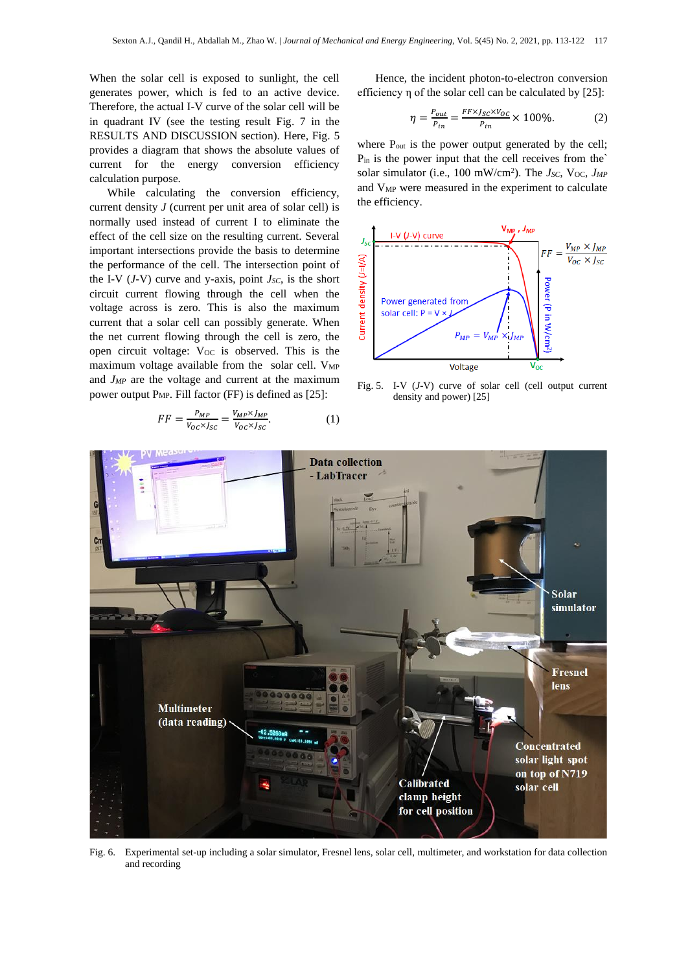When the solar cell is exposed to sunlight, the cell generates power, which is fed to an active device. Therefore, the actual I-V curve of the solar cell will be in quadrant IV (see the testing result Fig. 7 in the RESULTS AND DISCUSSION section). Here, Fig. 5 provides a diagram that shows the absolute values of current for the energy conversion efficiency calculation purpose.

While calculating the conversion efficiency, current density *J* (current per unit area of solar cell) is normally used instead of current I to eliminate the effect of the cell size on the resulting current. Several important intersections provide the basis to determine the performance of the cell. The intersection point of the I-V (*J*-V) curve and y-axis, point *JSC*, is the short circuit current flowing through the cell when the voltage across is zero. This is also the maximum current that a solar cell can possibly generate. When the net current flowing through the cell is zero, the open circuit voltage: Voc is observed. This is the maximum voltage available from the solar cell. V<sub>MP</sub> and *JMP* are the voltage and current at the maximum power output PMP. Fill factor (FF) is defined as [25]:

$$
FF = \frac{P_{MP}}{V_{OC} \times J_{SC}} = \frac{V_{MP} \times J_{MP}}{V_{OC} \times J_{SC}}.\tag{1}
$$

Hence, the incident photon-to-electron conversion efficiency η of the solar cell can be calculated by [25]:

$$
\eta = \frac{P_{out}}{P_{in}} = \frac{FF \times J_{SC} \times V_{OC}}{P_{in}} \times 100\%.
$$
 (2)

where  $P_{out}$  is the power output generated by the cell; Pin is the power input that the cell receives from the` solar simulator (i.e., 100 mW/cm<sup>2</sup>). The *J<sub>SC</sub>*, V<sub>OC</sub>, *J<sub>MP</sub>* and VMP were measured in the experiment to calculate the efficiency.



Fig. 5. I-V (*J*-V) curve of solar cell (cell output current density and power) [25]



Fig. 6. Experimental set-up including a solar simulator, Fresnel lens, solar cell, multimeter, and workstation for data collection and recording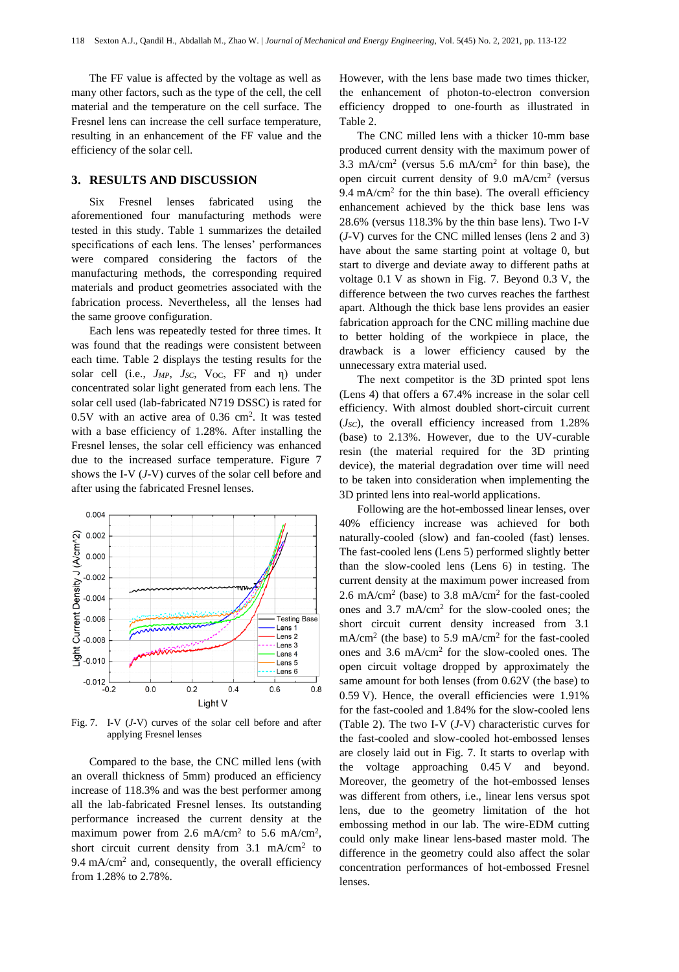The FF value is affected by the voltage as well as many other factors, such as the type of the cell, the cell material and the temperature on the cell surface. The Fresnel lens can increase the cell surface temperature, resulting in an enhancement of the FF value and the efficiency of the solar cell.

## **3. RESULTS AND DISCUSSION**

Six Fresnel lenses fabricated using the aforementioned four manufacturing methods were tested in this study. Table 1 summarizes the detailed specifications of each lens. The lenses' performances were compared considering the factors of the manufacturing methods, the corresponding required materials and product geometries associated with the fabrication process. Nevertheless, all the lenses had the same groove configuration.

Each lens was repeatedly tested for three times. It was found that the readings were consistent between each time. Table 2 displays the testing results for the solar cell (i.e., *JMP*, *JSC*, VOC, FF and η) under concentrated solar light generated from each lens. The solar cell used (lab-fabricated N719 DSSC) is rated for  $0.5V$  with an active area of  $0.36 \text{ cm}^2$ . It was tested with a base efficiency of 1.28%. After installing the Fresnel lenses, the solar cell efficiency was enhanced due to the increased surface temperature. Figure 7 shows the I-V (*J*-V) curves of the solar cell before and after using the fabricated Fresnel lenses.



Fig. 7. I-V (*J*-V) curves of the solar cell before and after applying Fresnel lenses

Compared to the base, the CNC milled lens (with an overall thickness of 5mm) produced an efficiency increase of 118.3% and was the best performer among all the lab-fabricated Fresnel lenses. Its outstanding performance increased the current density at the maximum power from 2.6 mA/cm<sup>2</sup> to 5.6 mA/cm<sup>2</sup>, short circuit current density from  $3.1 \text{ mA/cm}^2$  to 9.4 mA/ $\text{cm}^2$  and, consequently, the overall efficiency from 1.28% to 2.78%.

However, with the lens base made two times thicker, the enhancement of photon-to-electron conversion efficiency dropped to one-fourth as illustrated in Table 2.

The CNC milled lens with a thicker 10-mm base produced current density with the maximum power of 3.3 mA/cm<sup>2</sup> (versus 5.6 mA/cm<sup>2</sup> for thin base), the open circuit current density of  $9.0 \text{ mA/cm}^2$  (versus 9.4 mA/ $\text{cm}^2$  for the thin base). The overall efficiency enhancement achieved by the thick base lens was 28.6% (versus 118.3% by the thin base lens). Two I-V (*J*-V) curves for the CNC milled lenses (lens 2 and 3) have about the same starting point at voltage 0, but start to diverge and deviate away to different paths at voltage 0.1 V as shown in Fig. 7. Beyond 0.3 V, the difference between the two curves reaches the farthest apart. Although the thick base lens provides an easier fabrication approach for the CNC milling machine due to better holding of the workpiece in place, the drawback is a lower efficiency caused by the unnecessary extra material used.

The next competitor is the 3D printed spot lens (Lens 4) that offers a 67.4% increase in the solar cell efficiency. With almost doubled short-circuit current (*JSC*), the overall efficiency increased from 1.28% (base) to 2.13%. However, due to the UV-curable resin (the material required for the 3D printing device), the material degradation over time will need to be taken into consideration when implementing the 3D printed lens into real-world applications.

Following are the hot-embossed linear lenses, over 40% efficiency increase was achieved for both naturally-cooled (slow) and fan-cooled (fast) lenses. The fast-cooled lens (Lens 5) performed slightly better than the slow-cooled lens (Lens 6) in testing. The current density at the maximum power increased from 2.6 mA/cm<sup>2</sup> (base) to 3.8 mA/cm<sup>2</sup> for the fast-cooled ones and 3.7 mA/cm<sup>2</sup> for the slow-cooled ones; the short circuit current density increased from 3.1  $mA/cm<sup>2</sup>$  (the base) to 5.9 mA/cm<sup>2</sup> for the fast-cooled ones and 3.6 mA/cm<sup>2</sup> for the slow-cooled ones. The open circuit voltage dropped by approximately the same amount for both lenses (from 0.62V (the base) to 0.59 V). Hence, the overall efficiencies were 1.91% for the fast-cooled and 1.84% for the slow-cooled lens (Table 2). The two I-V (*J*-V) characteristic curves for the fast-cooled and slow-cooled hot-embossed lenses are closely laid out in Fig. 7. It starts to overlap with the voltage approaching 0.45 V and beyond. Moreover, the geometry of the hot-embossed lenses was different from others, i.e., linear lens versus spot lens, due to the geometry limitation of the hot embossing method in our lab. The wire-EDM cutting could only make linear lens-based master mold. The difference in the geometry could also affect the solar concentration performances of hot-embossed Fresnel lenses.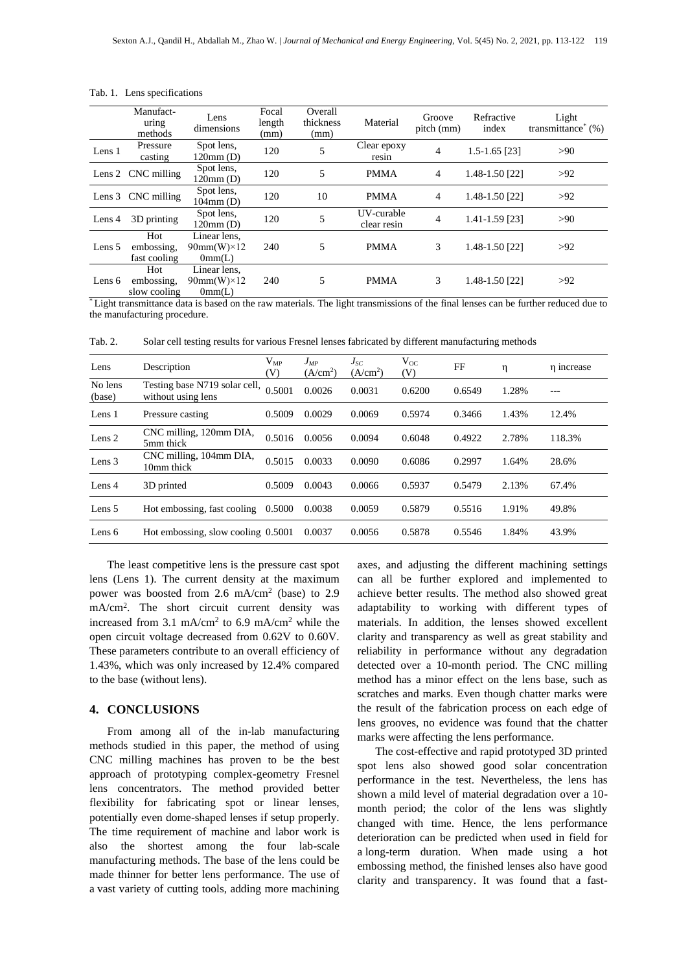#### Tab. 1. Lens specifications

|        | Manufact-<br>uring<br>methods     | Lens<br>dimensions                            | Focal<br>length<br>(mm) | Overall<br>thickness<br>(mm) | Material                  | Groove<br>pitch (mm) | Refractive<br>index | Light<br>transmittance $(%)$ |
|--------|-----------------------------------|-----------------------------------------------|-------------------------|------------------------------|---------------------------|----------------------|---------------------|------------------------------|
| Lens 1 | Pressure<br>casting               | Spot lens,<br>120mm(D)                        | 120                     | 5                            | Clear epoxy<br>resin      | $\overline{4}$       | $1.5 - 1.65$ [23]   | >90                          |
|        | Lens 2 CNC milling                | Spot lens,<br>120mm(D)                        | 120                     | 5                            | <b>PMMA</b>               | $\overline{4}$       | 1.48-1.50 [22]      | >92                          |
|        | Lens 3 CNC milling                | Spot lens,<br>$104$ mm $(D)$                  | 120                     | 10                           | <b>PMMA</b>               | 4                    | 1.48-1.50 [22]      | >92                          |
| Lens 4 | 3D printing                       | Spot lens,<br>120mm(D)                        | 120                     | 5                            | UV-curable<br>clear resin | 4                    | 1.41-1.59 [23]      | >90                          |
| Lens 5 | Hot<br>embossing.<br>fast cooling | Linear lens.<br>$90mm(W) \times 12$<br>0mm(L) | 240                     | 5                            | <b>PMMA</b>               | 3                    | 1.48-1.50 [22]      | >92                          |
| Lens 6 | Hot<br>embossing,<br>slow cooling | Linear lens.<br>$90mm(W)\times12$<br>0mm(L)   | 240                     | 5                            | <b>PMMA</b>               | 3                    | 1.48-1.50 [22]      | >92                          |

\* Light transmittance data is based on the raw materials. The light transmissions of the final lenses can be further reduced due to the manufacturing procedure.

Tab. 2. Solar cell testing results for various Fresnel lenses fabricated by different manufacturing methods

| Lens              | Description                                         | $V_{MP}$<br>(V) | $J_{MP}$<br>(A/cm <sup>2</sup> ) | $J_{SC}$<br>(A/cm <sup>2</sup> ) | $V_{OC}$<br>(V) | FF     | η     | n increase |
|-------------------|-----------------------------------------------------|-----------------|----------------------------------|----------------------------------|-----------------|--------|-------|------------|
| No lens<br>(base) | Testing base N719 solar cell,<br>without using lens | 0.5001          | 0.0026                           | 0.0031                           | 0.6200          | 0.6549 | 1.28% | ---        |
| Lens 1            | Pressure casting                                    | 0.5009          | 0.0029                           | 0.0069                           | 0.5974          | 0.3466 | 1.43% | 12.4%      |
| Lens <sub>2</sub> | CNC milling, 120mm DIA,<br>5mm thick                | 0.5016          | 0.0056                           | 0.0094                           | 0.6048          | 0.4922 | 2.78% | 118.3%     |
| Lens 3            | CNC milling, 104mm DIA,<br>10mm thick               | 0.5015          | 0.0033                           | 0.0090                           | 0.6086          | 0.2997 | 1.64% | 28.6%      |
| Lens 4            | 3D printed                                          | 0.5009          | 0.0043                           | 0.0066                           | 0.5937          | 0.5479 | 2.13% | 67.4%      |
| Lens 5            | Hot embossing, fast cooling                         | 0.5000          | 0.0038                           | 0.0059                           | 0.5879          | 0.5516 | 1.91% | 49.8%      |
| Lens 6            | Hot embossing, slow cooling 0.5001                  |                 | 0.0037                           | 0.0056                           | 0.5878          | 0.5546 | 1.84% | 43.9%      |

The least competitive lens is the pressure cast spot lens (Lens 1). The current density at the maximum power was boosted from 2.6 mA/cm<sup>2</sup> (base) to 2.9 mA/cm<sup>2</sup> . The short circuit current density was increased from 3.1 mA/cm<sup>2</sup> to 6.9 mA/cm<sup>2</sup> while the open circuit voltage decreased from 0.62V to 0.60V. These parameters contribute to an overall efficiency of 1.43%, which was only increased by 12.4% compared to the base (without lens).

## **4. CONCLUSIONS**

From among all of the in-lab manufacturing methods studied in this paper, the method of using CNC milling machines has proven to be the best approach of prototyping complex-geometry Fresnel lens concentrators. The method provided better flexibility for fabricating spot or linear lenses, potentially even dome-shaped lenses if setup properly. The time requirement of machine and labor work is also the shortest among the four lab-scale manufacturing methods. The base of the lens could be made thinner for better lens performance. The use of a vast variety of cutting tools, adding more machining

axes, and adjusting the different machining settings can all be further explored and implemented to achieve better results. The method also showed great adaptability to working with different types of materials. In addition, the lenses showed excellent clarity and transparency as well as great stability and reliability in performance without any degradation detected over a 10-month period. The CNC milling method has a minor effect on the lens base, such as scratches and marks. Even though chatter marks were the result of the fabrication process on each edge of lens grooves, no evidence was found that the chatter marks were affecting the lens performance.

The cost-effective and rapid prototyped 3D printed spot lens also showed good solar concentration performance in the test. Nevertheless, the lens has shown a mild level of material degradation over a 10 month period; the color of the lens was slightly changed with time. Hence, the lens performance deterioration can be predicted when used in field for a long-term duration. When made using a hot embossing method, the finished lenses also have good clarity and transparency. It was found that a fast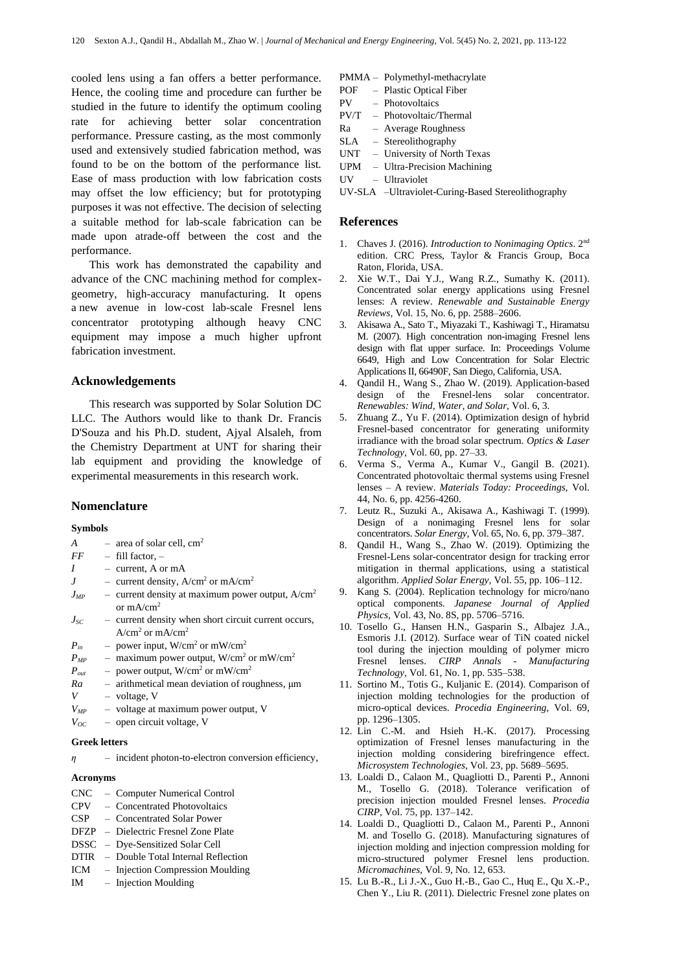cooled lens using a fan offers a better performance. Hence, the cooling time and procedure can further be studied in the future to identify the optimum cooling rate for achieving better solar concentration performance. Pressure casting, as the most commonly used and extensively studied fabrication method, was found to be on the bottom of the performance list. Ease of mass production with low fabrication costs may offset the low efficiency; but for prototyping purposes it was not effective. The decision of selecting a suitable method for lab-scale fabrication can be made upon atrade-off between the cost and the performance.

This work has demonstrated the capability and advance of the CNC machining method for complexgeometry, high-accuracy manufacturing. It opens a new avenue in low-cost lab-scale Fresnel lens concentrator prototyping although heavy CNC equipment may impose a much higher upfront fabrication investment.

### **Acknowledgements**

This research was supported by Solar Solution DC LLC. The Authors would like to thank Dr. Francis D'Souza and his Ph.D. student, Ajyal Alsaleh, from the Chemistry Department at UNT for sharing their lab equipment and providing the knowledge of experimental measurements in this research work.

## **Nomenclature**

#### **Symbols**

- $A$  area of solar cell, cm<sup>2</sup>
- $FF =$  = fill factor =
- *I* current, A or mA
- *J* current density, A/cm<sup>2</sup> or mA/cm<sup>2</sup>
- $J_{MP}$  current density at maximum power output,  $A/cm^2$ or  $mA/cm^2$
- *JSC* current density when short circuit current occurs,  $A/cm<sup>2</sup>$  or m $A/cm<sup>2</sup>$
- $P_{in}$  power input, W/cm<sup>2</sup> or mW/cm<sup>2</sup>
- $P_{MP}$  maximum power output, W/cm<sup>2</sup> or mW/cm<sup>2</sup>
- $P_{out}$  power output, W/cm<sup>2</sup> or mW/cm<sup>2</sup>
- *Ra* arithmetical mean deviation of roughness, μm
- *V* voltage, V
- $V_{MP}$  voltage at maximum power output, V
- *VOC* open circuit voltage, V

## **Greek letters**

*η* – incident photon-to-electron conversion efficiency,

# **Acronyms**

- CNC Computer Numerical Control
- CPV Concentrated Photovoltaics
- CSP Concentrated Solar Power
- DFZP Dielectric Fresnel Zone Plate
- DSSC Dye-Sensitized Solar Cell
- DTIR Double Total Internal Reflection
- ICM Injection Compression Moulding
- IM Injection Moulding
- PMMA Polymethyl-methacrylate
- POF Plastic Optical Fiber<br>PV Photovoltaics
- Photovoltaics
- PV/T Photovoltaic/Thermal
- Ra Average Roughness
- SLA Stereolithography
- UNT University of North Texas
- UPM Ultra-Precision Machining
- UV Ultraviolet
- UV-SLA –Ultraviolet-Curing-Based Stereolithography

# **References**

- 1. Chaves J. (2016). *Introduction to Nonimaging Optics*. 2<sup>nd</sup> edition. CRC Press, Taylor & Francis Group, Boca Raton, Florida, USA.
- 2. Xie W.T., Dai Y.J., Wang R.Z., Sumathy K. (2011). Concentrated solar energy applications using Fresnel lenses: A review. *Renewable and Sustainable Energy Reviews,* Vol. 15, No. 6, pp. 2588–2606.
- 3. Akisawa A., Sato T., Miyazaki T., Kashiwagi T., Hiramatsu M. (2007). High concentration non-imaging Fresnel lens design with flat upper surface. In: Proceedings Volume 6649, High and Low Concentration for Solar Electric Applications II, 66490F, San Diego, California, USA.
- 4. Qandil H., Wang S., Zhao W. (2019). Application-based design of the Fresnel-lens solar concentrator. *Renewables: Wind, Water, and Solar,* Vol. 6, 3.
- 5. Zhuang Z., Yu F. (2014). Optimization design of hybrid Fresnel-based concentrator for generating uniformity irradiance with the broad solar spectrum. *Optics & Laser Technology,* Vol. 60, pp. 27–33.
- 6. Verma S., Verma A., Kumar V., Gangil B. (2021). Concentrated photovoltaic thermal systems using Fresnel lenses – A review. *Materials Today: Proceedings,* Vol. 44, No. 6, pp. 4256-4260.
- 7. Leutz R., Suzuki A., Akisawa A., Kashiwagi T. (1999). Design of a nonimaging Fresnel lens for solar concentrators. *Solar Energy,* Vol. 65, No. 6, pp. 379–387.
- 8. Qandil H., Wang S., Zhao W. (2019). Optimizing the Fresnel-Lens solar-concentrator design for tracking error mitigation in thermal applications, using a statistical algorithm. *Applied Solar Energy,* Vol. 55, pp. 106–112.
- 9. Kang S. (2004). Replication technology for micro/nano optical components. *Japanese Journal of Applied Physics,* Vol. 43, No. 8S, pp. 5706–5716.
- 10. Tosello G., Hansen H.N., Gasparin S., Albajez J.A., Esmoris J.I. (2012). Surface wear of TiN coated nickel tool during the injection moulding of polymer micro Fresnel lenses. *CIRP Annals - Manufacturing Technology,* Vol. 61, No. 1, pp. 535–538.
- 11. Sortino M., Totis G., Kuljanic E. (2014). Comparison of injection molding technologies for the production of micro-optical devices. *Procedia Engineering,* Vol. 69, pp. 1296–1305.
- 12. Lin C.-M. and Hsieh H.-K. (2017). Processing optimization of Fresnel lenses manufacturing in the injection molding considering birefringence effect. *Microsystem Technologies,* Vol. 23, pp. 5689–5695.
- 13. Loaldi D., Calaon M., Quagliotti D., Parenti P., Annoni M., Tosello G. (2018). Tolerance verification of precision injection moulded Fresnel lenses. *Procedia CIRP,* Vol. 75, pp. 137–142.
- 14. Loaldi D., Quagliotti D., Calaon M., Parenti P., Annoni M. and Tosello G. (2018). Manufacturing signatures of injection molding and injection compression molding for micro-structured polymer Fresnel lens production. *Micromachines,* Vol. 9, No. 12, 653.
- 15. Lu B.-R., Li J.-X., Guo H.-B., Gao C., Huq E., Qu X.-P., Chen Y., Liu R. (2011). Dielectric Fresnel zone plates on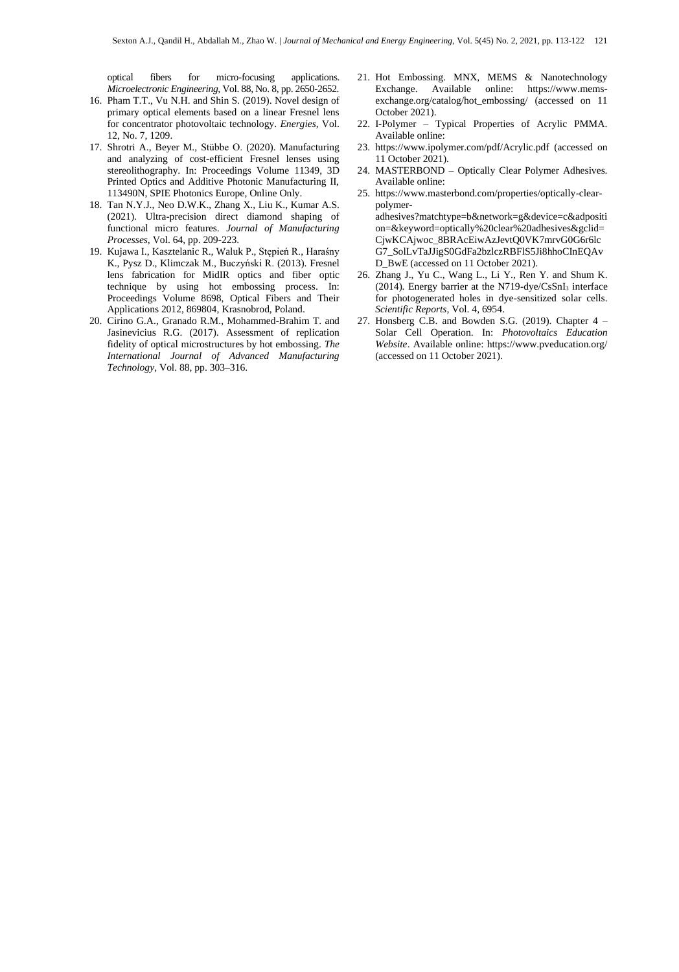optical fibers for micro-focusing applications. *Microelectronic Engineering,* Vol. 88, No. 8, pp. 2650-2652.

- 16. Pham T.T., Vu N.H. and Shin S. (2019). Novel design of primary optical elements based on a linear Fresnel lens for concentrator photovoltaic technology. *Energies,* Vol. 12, No. 7, 1209.
- 17. Shrotri A., Beyer M., Stübbe O. (2020). Manufacturing and analyzing of cost-efficient Fresnel lenses using stereolithography. In: Proceedings Volume 11349, 3D Printed Optics and Additive Photonic Manufacturing II, 113490N, SPIE Photonics Europe, Online Only.
- 18. Tan N.Y.J., Neo D.W.K., Zhang X., Liu K., Kumar A.S. (2021). Ultra-precision direct diamond shaping of functional micro features. *Journal of Manufacturing Processes,* Vol. 64, pp. 209-223.
- 19. Kujawa I., Kasztelanic R., Waluk P., Stępień R., Haraśny K., Pysz D., Klimczak M., Buczyński R. (2013). Fresnel lens fabrication for MidIR optics and fiber optic technique by using hot embossing process. In: Proceedings Volume 8698, Optical Fibers and Their Applications 2012, 869804, Krasnobrod, Poland.
- 20. Cirino G.A., Granado R.M., Mohammed-Brahim T. and Jasinevicius R.G. (2017). Assessment of replication fidelity of optical microstructures by hot embossing. *The International Journal of Advanced Manufacturing Technology,* Vol. 88, pp. 303–316.
- 21. Hot Embossing. MNX, MEMS & Nanotechnology Exchange. Available online: https://www.memsexchange.org/catalog/hot\_embossing/ (accessed on 11 October 2021).
- 22. I-Polymer Typical Properties of Acrylic PMMA. Available online:
- 23. https://www.ipolymer.com/pdf/Acrylic.pdf (accessed on 11 October 2021).
- 24. MASTERBOND Optically Clear Polymer Adhesives. Available online:
- 25. https://www.masterbond.com/properties/optically-clearpolymeradhesives?matchtype=b&network=g&device=c&adpositi on=&keyword=optically%20clear%20adhesives&gclid= CjwKCAjwoc\_8BRAcEiwAzJevtQ0VK7mrvG0G6r6lc G7\_SolLvTaJJigS0GdFa2bzlczRBFlS5Ji8hhoCInEQAv D\_BwE (accessed on 11 October 2021).
- 26. Zhang J., Yu C., Wang L., Li Y., Ren Y. and Shum K. (2014). Energy barrier at the N719-dye/CsSnI<sub>3</sub> interface for photogenerated holes in dye-sensitized solar cells. *Scientific Reports,* Vol. 4, 6954.
- 27. Honsberg C.B. and Bowden S.G. (2019). Chapter 4 Solar Cell Operation. In: *Photovoltaics Education Website*. Available online: https://www.pveducation.org/ (accessed on 11 October 2021).